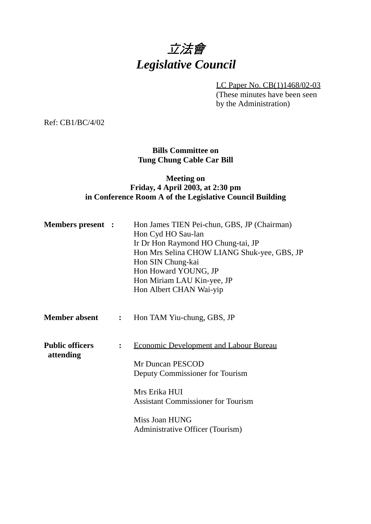# 立法會 *Legislative Council*

LC Paper No. CB(1)1468/02-03

(These minutes have been seen by the Administration)

Ref: CB1/BC/4/02

### **Bills Committee on Tung Chung Cable Car Bill**

### **Meeting on Friday, 4 April 2003, at 2:30 pm in Conference Room A of the Legislative Council Building**

| <b>Members present :</b>            |                | Hon James TIEN Pei-chun, GBS, JP (Chairman)<br>Hon Cyd HO Sau-lan<br>Ir Dr Hon Raymond HO Chung-tai, JP<br>Hon Mrs Selina CHOW LIANG Shuk-yee, GBS, JP<br>Hon SIN Chung-kai<br>Hon Howard YOUNG, JP<br>Hon Miriam LAU Kin-yee, JP<br>Hon Albert CHAN Wai-yip |
|-------------------------------------|----------------|--------------------------------------------------------------------------------------------------------------------------------------------------------------------------------------------------------------------------------------------------------------|
| <b>Member absent</b>                | $\mathbf{L}$   | Hon TAM Yiu-chung, GBS, JP                                                                                                                                                                                                                                   |
| <b>Public officers</b><br>attending | $\ddot{\cdot}$ | <b>Economic Development and Labour Bureau</b><br>Mr Duncan PESCOD<br>Deputy Commissioner for Tourism<br>Mrs Erika HUI<br><b>Assistant Commissioner for Tourism</b><br>Miss Joan HUNG<br>Administrative Officer (Tourism)                                     |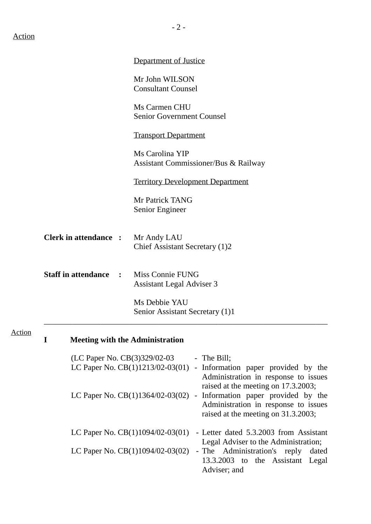|               |             |                                              | <b>Department of Justice</b>                                                                                                                                                                          |
|---------------|-------------|----------------------------------------------|-------------------------------------------------------------------------------------------------------------------------------------------------------------------------------------------------------|
|               |             |                                              | Mr John WILSON<br><b>Consultant Counsel</b>                                                                                                                                                           |
|               |             |                                              | Ms Carmen CHU<br><b>Senior Government Counsel</b>                                                                                                                                                     |
|               |             |                                              | <b>Transport Department</b>                                                                                                                                                                           |
|               |             |                                              | Ms Carolina YIP<br>Assistant Commissioner/Bus & Railway                                                                                                                                               |
|               |             |                                              | <b>Territory Development Department</b>                                                                                                                                                               |
|               |             |                                              | Mr Patrick TANG<br>Senior Engineer                                                                                                                                                                    |
|               |             | <b>Clerk in attendance :</b>                 | Mr Andy LAU<br>Chief Assistant Secretary (1)2                                                                                                                                                         |
|               |             | <b>Staff in attendance</b><br>$\mathbb{R}^n$ | <b>Miss Connie FUNG</b><br><b>Assistant Legal Adviser 3</b>                                                                                                                                           |
|               |             |                                              | Ms Debbie YAU<br>Senior Assistant Secretary (1)1                                                                                                                                                      |
| <b>Action</b> | $\mathbf I$ |                                              | <b>Meeting with the Administration</b>                                                                                                                                                                |
|               |             |                                              | (LC Paper No. CB(3)329/02-03<br>- The Bill;<br>LC Paper No. CB(1)1213/02-03(01)<br>- Information paper provided by the<br>Administration in response to issues<br>raised at the meeting on 17.3.2003; |
|               |             |                                              | - Information paper provided by the<br>LC Paper No. $CB(1)1364/02-03(02)$<br>Administration in response to issues<br>raised at the meeting on 31.3.2003;                                              |

LC Paper No. CB(1)1094/02-03(01) - Letter dated 5.3.2003 from Assistant Legal Adviser to the Administration; LC Paper No. CB(1)1094/02-03(02) - The Administration's reply dated 13.3.2003 to the Assistant Legal Adviser; and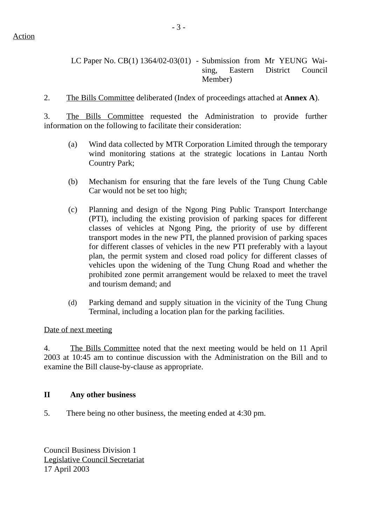2. The Bills Committee deliberated (Index of proceedings attached at **Annex A**).

3. The Bills Committee requested the Administration to provide further information on the following to facilitate their consideration:

- (a) Wind data collected by MTR Corporation Limited through the temporary wind monitoring stations at the strategic locations in Lantau North Country Park;
- (b) Mechanism for ensuring that the fare levels of the Tung Chung Cable Car would not be set too high;
- (c) Planning and design of the Ngong Ping Public Transport Interchange (PTI), including the existing provision of parking spaces for different classes of vehicles at Ngong Ping, the priority of use by different transport modes in the new PTI, the planned provision of parking spaces for different classes of vehicles in the new PTI preferably with a layout plan, the permit system and closed road policy for different classes of vehicles upon the widening of the Tung Chung Road and whether the prohibited zone permit arrangement would be relaxed to meet the travel and tourism demand; and
- (d) Parking demand and supply situation in the vicinity of the Tung Chung Terminal, including a location plan for the parking facilities.

#### Date of next meeting

4. The Bills Committee noted that the next meeting would be held on 11 April 2003 at 10:45 am to continue discussion with the Administration on the Bill and to examine the Bill clause-by-clause as appropriate.

#### **II Any other business**

5. There being no other business, the meeting ended at 4:30 pm.

Council Business Division 1 Legislative Council Secretariat 17 April 2003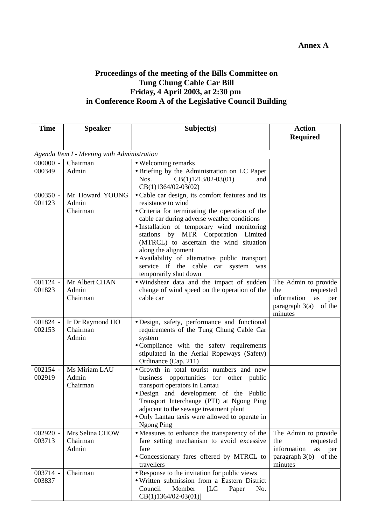## **Proceedings of the meeting of the Bills Committee on Tung Chung Cable Car Bill Friday, 4 April 2003, at 2:30 pm in Conference Room A of the Legislative Council Building**

| <b>Time</b>          | <b>Speaker</b>                              | Subject(s)                                                                                                                                                                                                                                                                                                                                                                                                                                            | <b>Action</b>                                                                                               |  |
|----------------------|---------------------------------------------|-------------------------------------------------------------------------------------------------------------------------------------------------------------------------------------------------------------------------------------------------------------------------------------------------------------------------------------------------------------------------------------------------------------------------------------------------------|-------------------------------------------------------------------------------------------------------------|--|
|                      |                                             |                                                                                                                                                                                                                                                                                                                                                                                                                                                       | <b>Required</b>                                                                                             |  |
|                      | Agenda Item I - Meeting with Administration |                                                                                                                                                                                                                                                                                                                                                                                                                                                       |                                                                                                             |  |
| $000000 -$           | Chairman                                    | • Welcoming remarks                                                                                                                                                                                                                                                                                                                                                                                                                                   |                                                                                                             |  |
| 000349               | Admin                                       | • Briefing by the Administration on LC Paper<br>$CB(1)1213/02-03(01)$<br>Nos.<br>and<br>$CB(1)1364/02-03(02)$                                                                                                                                                                                                                                                                                                                                         |                                                                                                             |  |
| $000350 -$<br>001123 | Mr Howard YOUNG<br>Admin<br>Chairman        | • Cable car design, its comfort features and its<br>resistance to wind<br>· Criteria for terminating the operation of the<br>cable car during adverse weather conditions<br>· Installation of temporary wind monitoring<br>stations by MTR Corporation Limited<br>(MTRCL) to ascertain the wind situation<br>along the alignment<br>• Availability of alternative public transport<br>service if the cable car system<br>was<br>temporarily shut down |                                                                                                             |  |
| $001124 -$<br>001823 | Mr Albert CHAN<br>Admin<br>Chairman         | · Windshear data and the impact of sudden<br>change of wind speed on the operation of the<br>cable car                                                                                                                                                                                                                                                                                                                                                | The Admin to provide<br>the<br>requested<br>information<br>as<br>per<br>paragraph $3(a)$ of the<br>minutes  |  |
| $001824 -$<br>002153 | Ir Dr Raymond HO<br>Chairman<br>Admin       | · Design, safety, performance and functional<br>requirements of the Tung Chung Cable Car<br>system<br>• Compliance with the safety requirements<br>stipulated in the Aerial Ropeways (Safety)<br>Ordinance (Cap. 211)                                                                                                                                                                                                                                 |                                                                                                             |  |
| $002154 -$<br>002919 | Ms Miriam LAU<br>Admin<br>Chairman          | • Growth in total tourist numbers and new<br>business opportunities for other public<br>transport operators in Lantau<br>· Design and development of the Public<br>Transport Interchange (PTI) at Ngong Ping<br>adjacent to the sewage treatment plant<br>• Only Lantau taxis were allowed to operate in<br><b>Ngong Ping</b>                                                                                                                         |                                                                                                             |  |
| $002920 -$<br>003713 | Mrs Selina CHOW<br>Chairman<br>Admin        | • Measures to enhance the transparency of the<br>fare setting mechanism to avoid excessive<br>fare<br>• Concessionary fares offered by MTRCL to<br>travellers                                                                                                                                                                                                                                                                                         | The Admin to provide<br>the<br>requested<br>information<br>as<br>per<br>paragraph 3(b)<br>of the<br>minutes |  |
| 003714 -<br>003837   | Chairman                                    | • Response to the invitation for public views<br>· Written submission from a Eastern District<br>Council<br>Member<br>[LC]<br>Paper<br>No.<br>$CB(1)1364/02-03(01)]$                                                                                                                                                                                                                                                                                  |                                                                                                             |  |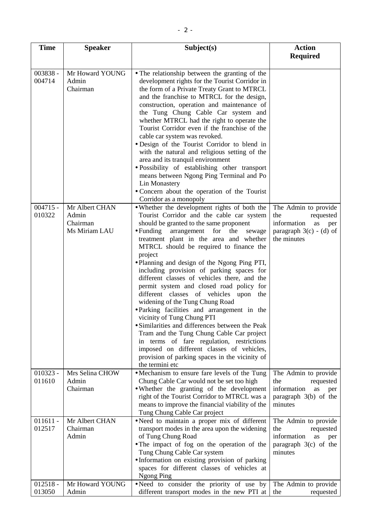| <b>Time</b>          | <b>Speaker</b>                                       | Subject(s)                                                                                                                                                                                                                                                                                                                                                                                                                                                                                                                                                                                                                                                                                                                                                                                                                                                                                                                                       | <b>Action</b>                                                                                                    |
|----------------------|------------------------------------------------------|--------------------------------------------------------------------------------------------------------------------------------------------------------------------------------------------------------------------------------------------------------------------------------------------------------------------------------------------------------------------------------------------------------------------------------------------------------------------------------------------------------------------------------------------------------------------------------------------------------------------------------------------------------------------------------------------------------------------------------------------------------------------------------------------------------------------------------------------------------------------------------------------------------------------------------------------------|------------------------------------------------------------------------------------------------------------------|
|                      |                                                      |                                                                                                                                                                                                                                                                                                                                                                                                                                                                                                                                                                                                                                                                                                                                                                                                                                                                                                                                                  | <b>Required</b>                                                                                                  |
| 003838 -<br>004714   | Mr Howard YOUNG<br>Admin<br>Chairman                 | • The relationship between the granting of the<br>development rights for the Tourist Corridor in<br>the form of a Private Treaty Grant to MTRCL<br>and the franchise to MTRCL for the design,<br>construction, operation and maintenance of<br>the Tung Chung Cable Car system and<br>whether MTRCL had the right to operate the<br>Tourist Corridor even if the franchise of the<br>cable car system was revoked.<br>• Design of the Tourist Corridor to blend in<br>with the natural and religious setting of the<br>area and its tranquil environment<br>· Possibility of establishing other transport<br>means between Ngong Ping Terminal and Po<br>Lin Monastery<br>• Concern about the operation of the Tourist                                                                                                                                                                                                                           |                                                                                                                  |
| $004715 -$<br>010322 | Mr Albert CHAN<br>Admin<br>Chairman<br>Ms Miriam LAU | Corridor as a monopoly<br>• Whether the development rights of both the<br>Tourist Corridor and the cable car system<br>should be granted to the same proponent<br>$\bullet$ Funding<br>arrangement<br>for<br>the<br>sewage<br>treatment plant in the area and whether<br>MTRCL should be required to finance the<br>project<br>• Planning and design of the Ngong Ping PTI,<br>including provision of parking spaces for<br>different classes of vehicles there, and the<br>permit system and closed road policy for<br>different classes of vehicles upon<br>the<br>widening of the Tung Chung Road<br>• Parking facilities and arrangement in the<br>vicinity of Tung Chung PTI<br>• Similarities and differences between the Peak<br>Tram and the Tung Chung Cable Car project<br>in terms of fare regulation, restrictions<br>imposed on different classes of vehicles,<br>provision of parking spaces in the vicinity of<br>the termini etc | The Admin to provide<br>the<br>requested<br>information<br>as<br>per<br>paragraph $3(c) - (d)$ of<br>the minutes |
| $010323 -$<br>011610 | Mrs Selina CHOW<br>Admin<br>Chairman                 | • Mechanism to ensure fare levels of the Tung<br>Chung Cable Car would not be set too high<br>• Whether the granting of the development<br>right of the Tourist Corridor to MTRCL was a<br>means to improve the financial viability of the<br>Tung Chung Cable Car project                                                                                                                                                                                                                                                                                                                                                                                                                                                                                                                                                                                                                                                                       | The Admin to provide<br>the<br>requested<br>information<br>as<br>per<br>paragraph 3(b) of the<br>minutes         |
| $011611 -$<br>012517 | Mr Albert CHAN<br>Chairman<br>Admin                  | •Need to maintain a proper mix of different<br>transport modes in the area upon the widening<br>of Tung Chung Road<br>• The impact of fog on the operation of the<br>Tung Chung Cable Car system<br>· Information on existing provision of parking<br>spaces for different classes of vehicles at<br><b>Ngong Ping</b>                                                                                                                                                                                                                                                                                                                                                                                                                                                                                                                                                                                                                           | The Admin to provide<br>requested<br>the<br>information<br>as<br>per<br>paragraph 3(c) of the<br>minutes         |
| $012518 -$<br>013050 | Mr Howard YOUNG<br>Admin                             | .Need to consider the priority of use by<br>different transport modes in the new PTI at                                                                                                                                                                                                                                                                                                                                                                                                                                                                                                                                                                                                                                                                                                                                                                                                                                                          | The Admin to provide<br>the<br>requested                                                                         |